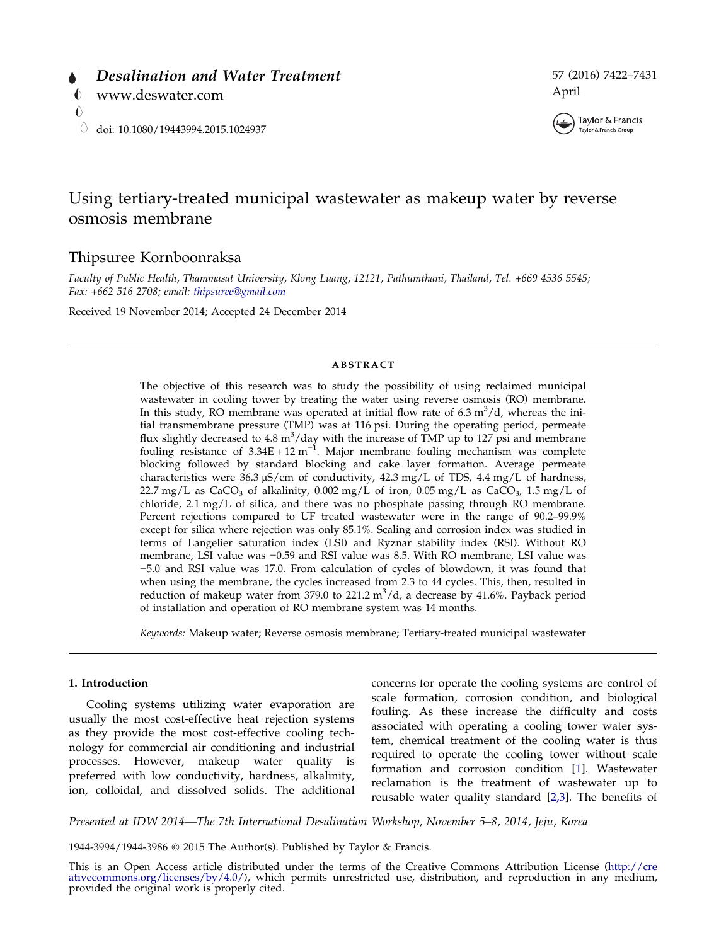



# Using tertiary-treated municipal wastewater as makeup water by reverse osmosis membrane

# Thipsuree Kornboonraksa

Faculty of Public Health, Thammasat University, Klong Luang, 12121, Pathumthani, Thailand, Tel. +669 4536 5545; Fax: +662 516 2708; email: [thipsuree@gmail.com](mailto:thipsuree@gmail.com)

Received 19 November 2014; Accepted 24 December 2014

### ABSTRACT

The objective of this research was to study the possibility of using reclaimed municipal wastewater in cooling tower by treating the water using reverse osmosis (RO) membrane. In this study, RO membrane was operated at initial flow rate of  $6.3 \text{ m}^3/\text{d}$ , whereas the initial transmembrane pressure (TMP) was at 116 psi. During the operating period, permeate flux slightly decreased to 4.8  $m^3$ /day with the increase of TMP up to 127 psi and membrane fouling resistance of  $3.34E + 12 m^{-1}$ . Major membrane fouling mechanism was complete blocking followed by standard blocking and cake layer formation. Average permeate characteristics were  $36.3 \mu\text{S/cm}$  of conductivity,  $42.3 \text{ mg/L}$  of TDS,  $4.4 \text{ mg/L}$  of hardness, 22.7 mg/L as  $CaCO<sub>3</sub>$  of alkalinity, 0.002 mg/L of iron, 0.05 mg/L as  $CaCO<sub>3</sub>$ , 1.5 mg/L of chloride, 2.1 mg/L of silica, and there was no phosphate passing through RO membrane. Percent rejections compared to UF treated wastewater were in the range of 90.2–99.9% except for silica where rejection was only 85.1%. Scaling and corrosion index was studied in terms of Langelier saturation index (LSI) and Ryznar stability index (RSI). Without RO membrane, LSI value was −0.59 and RSI value was 8.5. With RO membrane, LSI value was −5.0 and RSI value was 17.0. From calculation of cycles of blowdown, it was found that when using the membrane, the cycles increased from 2.3 to 44 cycles. This, then, resulted in reduction of makeup water from 379.0 to 221.2  $m^3/d$ , a decrease by 41.6%. Payback period of installation and operation of RO membrane system was 14 months.

Keywords: Makeup water; Reverse osmosis membrane; Tertiary-treated municipal wastewater

# 1. Introduction

Cooling systems utilizing water evaporation are usually the most cost-effective heat rejection systems as they provide the most cost-effective cooling technology for commercial air conditioning and industrial processes. However, makeup water quality is preferred with low conductivity, hardness, alkalinity, ion, colloidal, and dissolved solids. The additional

concerns for operate the cooling systems are control of scale formation, corrosion condition, and biological fouling. As these increase the difficulty and costs associated with operating a cooling tower water system, chemical treatment of the cooling water is thus required to operate the cooling tower without scale formation and corrosion condition [\[1](#page-8-0)]. Wastewater reclamation is the treatment of wastewater up to reusable water quality standard [\[2,3\]](#page-8-0). The benefits of

Presented at IDW 2014—The 7th International Desalination Workshop, November 5–8, 2014, Jeju, Korea

1944-3994/1944-3986 2015 The Author(s). Published by Taylor & Francis.

This is an Open Access article distributed under the terms of the Creative Commons Attribution License ([http://cre](http://creativecommons.org/licenses/by/4.0/)[ativecommons.org/licenses/by/4.0/\)](http://creativecommons.org/licenses/by/4.0/), which permits unrestricted use, distribution, and reproduction in any me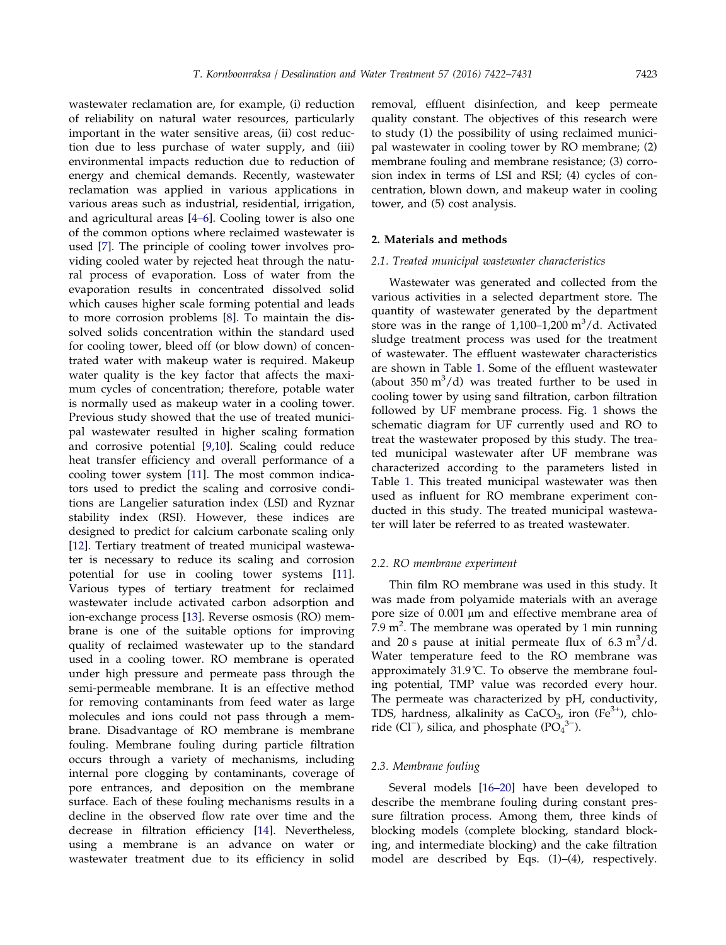wastewater reclamation are, for example, (i) reduction of reliability on natural water resources, particularly important in the water sensitive areas, (ii) cost reduction due to less purchase of water supply, and (iii) environmental impacts reduction due to reduction of energy and chemical demands. Recently, wastewater reclamation was applied in various applications in various areas such as industrial, residential, irrigation, and agricultural areas [[4–6](#page-8-0)]. Cooling tower is also one of the common options where reclaimed wastewater is used [\[7](#page-8-0)]. The principle of cooling tower involves providing cooled water by rejected heat through the natural process of evaporation. Loss of water from the evaporation results in concentrated dissolved solid which causes higher scale forming potential and leads to more corrosion problems [\[8](#page-8-0)]. To maintain the dissolved solids concentration within the standard used for cooling tower, bleed off (or blow down) of concentrated water with makeup water is required. Makeup water quality is the key factor that affects the maximum cycles of concentration; therefore, potable water is normally used as makeup water in a cooling tower. Previous study showed that the use of treated municipal wastewater resulted in higher scaling formation and corrosive potential [\[9,10\]](#page-8-0). Scaling could reduce heat transfer efficiency and overall performance of a cooling tower system [\[11](#page-8-0)]. The most common indicators used to predict the scaling and corrosive conditions are Langelier saturation index (LSI) and Ryznar stability index (RSI). However, these indices are designed to predict for calcium carbonate scaling only [[12\]](#page-8-0). Tertiary treatment of treated municipal wastewater is necessary to reduce its scaling and corrosion potential for use in cooling tower systems [[11](#page-8-0)]. Various types of tertiary treatment for reclaimed wastewater include activated carbon adsorption and ion-exchange process [\[13](#page-8-0)]. Reverse osmosis (RO) membrane is one of the suitable options for improving quality of reclaimed wastewater up to the standard used in a cooling tower. RO membrane is operated under high pressure and permeate pass through the semi-permeable membrane. It is an effective method for removing contaminants from feed water as large molecules and ions could not pass through a membrane. Disadvantage of RO membrane is membrane fouling. Membrane fouling during particle filtration occurs through a variety of mechanisms, including internal pore clogging by contaminants, coverage of pore entrances, and deposition on the membrane surface. Each of these fouling mechanisms results in a decline in the observed flow rate over time and the decrease in filtration efficiency [\[14](#page-8-0)]. Nevertheless, using a membrane is an advance on water or wastewater treatment due to its efficiency in solid

removal, effluent disinfection, and keep permeate quality constant. The objectives of this research were to study (1) the possibility of using reclaimed municipal wastewater in cooling tower by RO membrane; (2) membrane fouling and membrane resistance; (3) corrosion index in terms of LSI and RSI; (4) cycles of concentration, blown down, and makeup water in cooling tower, and (5) cost analysis.

# 2. Materials and methods

#### 2.1. Treated municipal wastewater characteristics

Wastewater was generated and collected from the various activities in a selected department store. The quantity of wastewater generated by the department store was in the range of  $1,100-1,200$  m<sup>3</sup>/d. Activated sludge treatment process was used for the treatment of wastewater. The effluent wastewater characteristics are shown in Table [1.](#page-2-0) Some of the effluent wastewater (about  $350 \text{ m}^3/\text{d}$ ) was treated further to be used in cooling tower by using sand filtration, carbon filtration followed by UF membrane process. Fig. [1](#page-2-0) shows the schematic diagram for UF currently used and RO to treat the wastewater proposed by this study. The treated municipal wastewater after UF membrane was characterized according to the parameters listed in Table [1.](#page-2-0) This treated municipal wastewater was then used as influent for RO membrane experiment conducted in this study. The treated municipal wastewater will later be referred to as treated wastewater.

#### 2.2. RO membrane experiment

Thin film RO membrane was used in this study. It was made from polyamide materials with an average pore size of 0.001 μm and effective membrane area of  $7.9 \text{ m}^2$ . The membrane was operated by 1 min running and 20 s pause at initial permeate flux of  $6.3 \text{ m}^3/\text{d}$ . Water temperature feed to the RO membrane was approximately 31.9˚C. To observe the membrane fouling potential, TMP value was recorded every hour. The permeate was characterized by pH, conductivity, TDS, hardness, alkalinity as  $CaCO<sub>3</sub>$ , iron (Fe<sup>3+</sup>), chloride (Cl<sup>−</sup>), silica, and phosphate ( $PO<sub>4</sub><sup>3−</sup>$ ).

#### 2.3. Membrane fouling

Several models [\[16–20](#page-8-0)] have been developed to describe the membrane fouling during constant pressure filtration process. Among them, three kinds of blocking models (complete blocking, standard blocking, and intermediate blocking) and the cake filtration model are described by Eqs. (1)–(4), respectively.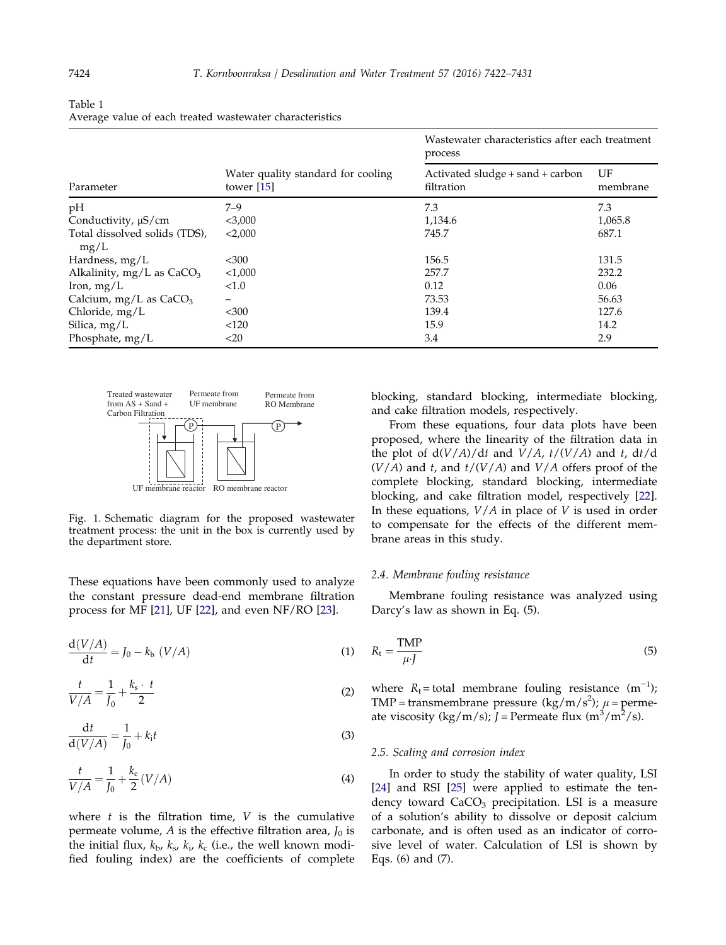|                                       |                                                    | Wastewater characteristics after each treatment<br>process |                |  |
|---------------------------------------|----------------------------------------------------|------------------------------------------------------------|----------------|--|
| Parameter                             | Water quality standard for cooling<br>tower $[15]$ | Activated sludge + sand + carbon<br>filtration             | UF<br>membrane |  |
| pH                                    | $7 - 9$                                            | 7.3                                                        | 7.3            |  |
| Conductivity, $\mu$ S/cm              | $<$ 3,000                                          | 1,134.6                                                    | 1,065.8        |  |
| Total dissolved solids (TDS),<br>mg/L | < 2,000                                            | 745.7                                                      | 687.1          |  |
| Hardness, $mg/L$                      | $300$                                              | 156.5                                                      | 131.5          |  |
| Alkalinity, $mg/L$ as $CaCO3$         | < 1,000                                            | 257.7                                                      | 232.2          |  |
| Iron, $mg/L$                          | < 1.0                                              | 0.12                                                       | 0.06           |  |
| Calcium, mg/L as $CaCO3$              | -                                                  | 73.53                                                      | 56.63          |  |
| Chloride, mg/L                        | $<$ 300                                            | 139.4                                                      | 127.6          |  |
| Silica, $mg/L$                        | < 120                                              | 15.9                                                       | 14.2           |  |
| Phosphate, mg/L                       | $<$ 20                                             | 3.4                                                        | 2.9            |  |

<span id="page-2-0"></span>Table 1 Average value of each treated wastewater characteristics



Fig. 1. Schematic diagram for the proposed wastewater treatment process: the unit in the box is currently used by the department store.

These equations have been commonly used to analyze the constant pressure dead-end membrane filtration process for MF [[21](#page-8-0)], UF [[22](#page-8-0)], and even NF/RO [[23\]](#page-8-0).

$$
\frac{\mathrm{d}(V/A)}{\mathrm{d}t} = J_0 - k_b \ (V/A) \tag{1}
$$

$$
\frac{t}{V/A} = \frac{1}{J_0} + \frac{k_s \cdot t}{2}
$$
 (2)

$$
\frac{\mathrm{d}t}{\mathrm{d}(V/A)} = \frac{1}{J_0} + k_i t \tag{3}
$$

$$
\frac{t}{V/A} = \frac{1}{J_0} + \frac{k_c}{2} (V/A)
$$
 (4)

where  $t$  is the filtration time,  $V$  is the cumulative permeate volume, A is the effective filtration area,  $J_0$  is the initial flux,  $k_{\rm b}$ ,  $k_{\rm s}$ ,  $k_{\rm i}$ ,  $k_{\rm c}$  (i.e., the well known modified fouling index) are the coefficients of complete blocking, standard blocking, intermediate blocking, and cake filtration models, respectively.

From these equations, four data plots have been proposed, where the linearity of the filtration data in the plot of  $d(V/A)/dt$  and  $V/A$ ,  $t/(V/A)$  and t,  $dt/d$  $(V/A)$  and t, and  $t/(V/A)$  and  $V/A$  offers proof of the complete blocking, standard blocking, intermediate blocking, and cake filtration model, respectively [[22](#page-8-0)]. In these equations,  $V/A$  in place of  $V$  is used in order to compensate for the effects of the different membrane areas in this study.

# 2.4. Membrane fouling resistance

Membrane fouling resistance was analyzed using Darcy's law as shown in Eq. (5).

$$
R_{\rm t} = \frac{\rm TMP}{\mu \cdot J} \tag{5}
$$

where  $R_t$ = total membrane fouling resistance  $(m^{-1})$ ; TMP = transmembrane pressure (kg/m/s<sup>2</sup>);  $\mu$  = permeate viscosity (kg/m/s);  $\bar{J}$  = Permeate flux (m<sup>3</sup>/m<sup>2</sup>/s).

#### 2.5. Scaling and corrosion index

In order to study the stability of water quality, LSI [\[24\]](#page-8-0) and RSI [\[25](#page-8-0)] were applied to estimate the tendency toward  $CaCO<sub>3</sub>$  precipitation. LSI is a measure of a solution's ability to dissolve or deposit calcium carbonate, and is often used as an indicator of corrosive level of water. Calculation of LSI is shown by Eqs. (6) and (7).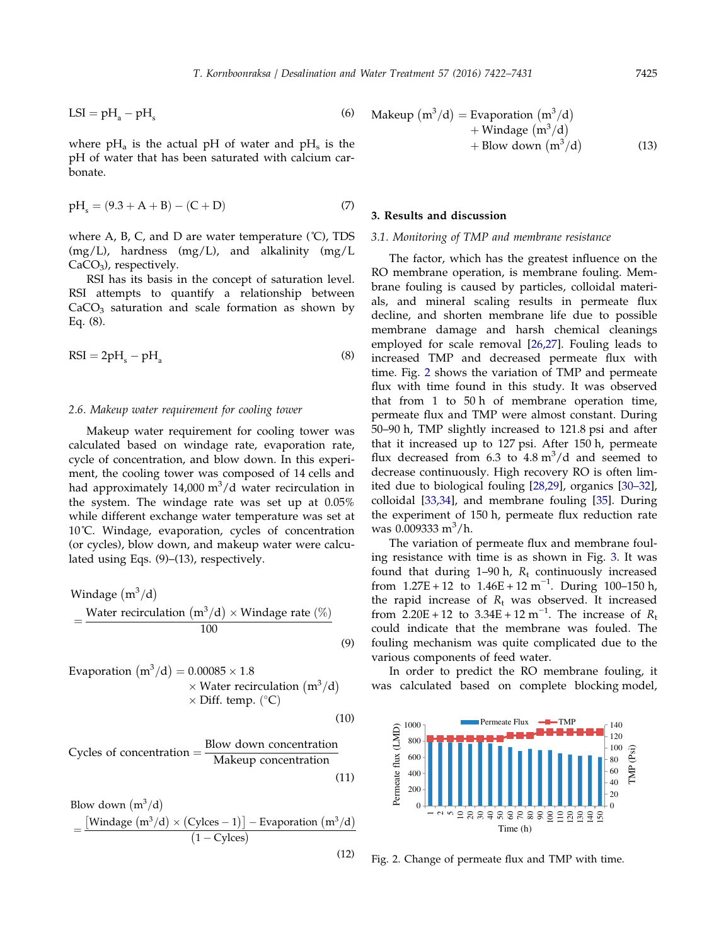$$
LSI = pHa - pHs
$$
 (6)

where  $pH_a$  is the actual  $pH$  of water and  $pH_s$  is the pH of water that has been saturated with calcium carbonate.

$$
pH_s = (9.3 + A + B) - (C + D)
$$
 (7)

where A, B, C, and D are water temperature  $(C)$ , TDS  $(mg/L)$ , hardness  $(mg/L)$ , and alkalinity  $(mg/L)$  $CaCO<sub>3</sub>$ , respectively.

RSI has its basis in the concept of saturation level. RSI attempts to quantify a relationship between  $CaCO<sub>3</sub>$  saturation and scale formation as shown by Eq. (8).

$$
RSI = 2pH_s - pH_a \tag{8}
$$

# 2.6. Makeup water requirement for cooling tower

Makeup water requirement for cooling tower was calculated based on windage rate, evaporation rate, cycle of concentration, and blow down. In this experiment, the cooling tower was composed of 14 cells and had approximately 14,000 m<sup>3</sup>/d water recirculation in the system. The windage rate was set up at 0.05% while different exchange water temperature was set at 10˚C. Windage, evaporation, cycles of concentration (or cycles), blow down, and makeup water were calculated using Eqs. (9)–(13), respectively.

Window  
Windage (m<sup>3</sup>/d)  
= 
$$
\frac{\text{Water recirculation (m3/d) × Windows rate (%)}{100}
$$
 (9)

Evaporation 
$$
(m^3/d) = 0.00085 \times 1.8
$$

\n $\times$  Water recirculation  $(m^3/d)$ 

\n $\times$  Diff. temp.  $(^{\circ}C)$ 

\n(10)

Cycles of concentration 
$$
= \frac{\text{Blow down concentration}}{\text{Makeup concentration}}
$$
(11)

Blow down 
$$
(m^3/d)
$$

\n
$$
= \frac{[Window \cdot m^3/d) \times (Cycles - 1)] - \text{Evaporation} \cdot (m^3/d)}{(1 - Cycles)}
$$

(12)

$$
\begin{aligned} \text{Makeup } (\mathbf{m}^3/\mathbf{d}) &= \text{Evaporation } (\mathbf{m}^3/\mathbf{d}) \\ &+ \text{Window } (\mathbf{m}^3/\mathbf{d}) \\ &+ \text{Blow down } (\mathbf{m}^3/\mathbf{d}) \end{aligned} \tag{13}
$$

## 3. Results and discussion

# 3.1. Monitoring of TMP and membrane resistance

The factor, which has the greatest influence on the RO membrane operation, is membrane fouling. Membrane fouling is caused by particles, colloidal materials, and mineral scaling results in permeate flux decline, and shorten membrane life due to possible membrane damage and harsh chemical cleanings employed for scale removal [\[26,27\]](#page-8-0). Fouling leads to increased TMP and decreased permeate flux with time. Fig. 2 shows the variation of TMP and permeate flux with time found in this study. It was observed that from 1 to 50 h of membrane operation time, permeate flux and TMP were almost constant. During 50–90 h, TMP slightly increased to 121.8 psi and after that it increased up to 127 psi. After 150 h, permeate flux decreased from  $6.3$  to  $4.8 \text{ m}^3/\text{d}$  and seemed to decrease continuously. High recovery RO is often limited due to biological fouling [[28,29](#page-8-0)], organics [\[30–32](#page-8-0)], colloidal [[33,34\]](#page-8-0), and membrane fouling [[35](#page-9-0)]. During the experiment of 150 h, permeate flux reduction rate was 0.009333 m<sup>3</sup>/h.

The variation of permeate flux and membrane fouling resistance with time is as shown in Fig. [3.](#page-4-0) It was found that during 1–90 h,  $R_t$  continuously increased from  $1.27E + 12$  to  $1.46E + 12$  m<sup>-1</sup>. During 100-150 h, the rapid increase of  $R_t$  was observed. It increased from  $2.20E + 12$  to  $3.34E + 12 m^{-1}$ . The increase of  $R_t$ could indicate that the membrane was fouled. The fouling mechanism was quite complicated due to the various components of feed water.

In order to predict the RO membrane fouling, it was calculated based on complete blocking model,



Fig. 2. Change of permeate flux and TMP with time.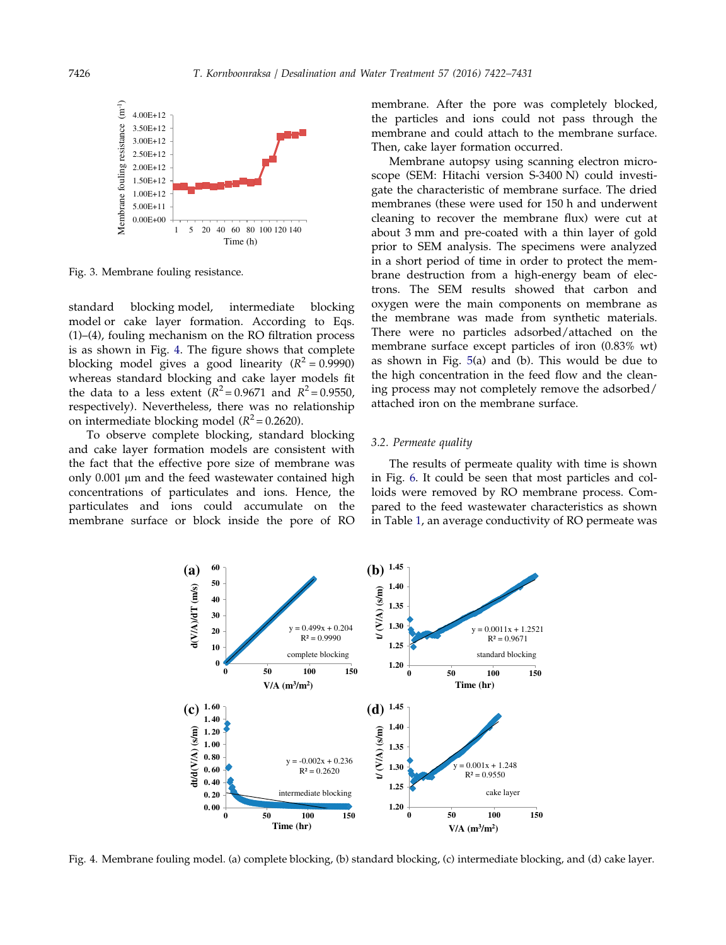<span id="page-4-0"></span>![](_page_4_Figure_1.jpeg)

Fig. 3. Membrane fouling resistance.

standard blocking model, intermediate blocking model or cake layer formation. According to Eqs. (1)–(4), fouling mechanism on the RO filtration process is as shown in Fig. 4. The figure shows that complete blocking model gives a good linearity ( $R^2 = 0.9990$ ) whereas standard blocking and cake layer models fit the data to a less extent  $(R^2 = 0.9671$  and  $R^2 = 0.9550$ , respectively). Nevertheless, there was no relationship on intermediate blocking model ( $R^2$  = 0.2620).

To observe complete blocking, standard blocking and cake layer formation models are consistent with the fact that the effective pore size of membrane was only 0.001 μm and the feed wastewater contained high concentrations of particulates and ions. Hence, the particulates and ions could accumulate on the membrane surface or block inside the pore of RO membrane. After the pore was completely blocked, the particles and ions could not pass through the membrane and could attach to the membrane surface. Then, cake layer formation occurred.

Membrane autopsy using scanning electron microscope (SEM: Hitachi version S-3400 N) could investigate the characteristic of membrane surface. The dried membranes (these were used for 150 h and underwent cleaning to recover the membrane flux) were cut at about 3 mm and pre-coated with a thin layer of gold prior to SEM analysis. The specimens were analyzed in a short period of time in order to protect the membrane destruction from a high-energy beam of electrons. The SEM results showed that carbon and oxygen were the main components on membrane as the membrane was made from synthetic materials. There were no particles adsorbed/attached on the membrane surface except particles of iron (0.83% wt) as shown in Fig. [5\(](#page-5-0)a) and (b). This would be due to the high concentration in the feed flow and the cleaning process may not completely remove the adsorbed/ attached iron on the membrane surface.

# 3.2. Permeate quality

The results of permeate quality with time is shown in Fig. [6.](#page-6-0) It could be seen that most particles and colloids were removed by RO membrane process. Compared to the feed wastewater characteristics as shown in Table [1,](#page-2-0) an average conductivity of RO permeate was

![](_page_4_Figure_9.jpeg)

Fig. 4. Membrane fouling model. (a) complete blocking, (b) standard blocking, (c) intermediate blocking, and (d) cake layer.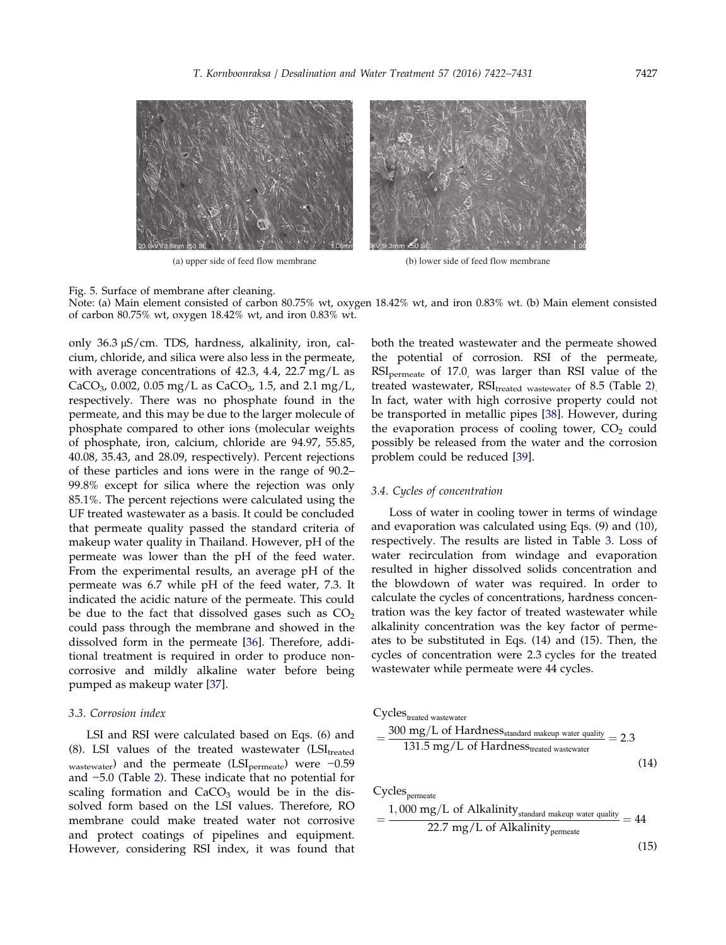<span id="page-5-0"></span>![](_page_5_Figure_1.jpeg)

(a) upper side of feed flow membrane (b) lower side of feed flow membrane

Fig. 5. Surface of membrane after cleaning.

Note: (a) Main element consisted of carbon 80.75% wt, oxygen 18.42% wt, and iron 0.83% wt. (b) Main element consisted of carbon 80.75% wt, oxygen 18.42% wt, and iron 0.83% wt.

only 36.3 μS/cm. TDS, hardness, alkalinity, iron, calcium, chloride, and silica were also less in the permeate, with average concentrations of 42.3, 4.4, 22.7 mg/L as CaCO<sub>3</sub>, 0.002, 0.05 mg/L as CaCO<sub>3</sub>, 1.5, and 2.1 mg/L, respectively. There was no phosphate found in the permeate, and this may be due to the larger molecule of phosphate compared to other ions (molecular weights of phosphate, iron, calcium, chloride are 94.97, 55.85, 40.08, 35.43, and 28.09, respectively). Percent rejections of these particles and ions were in the range of 90.2– 99.8% except for silica where the rejection was only 85.1%. The percent rejections were calculated using the UF treated wastewater as a basis. It could be concluded that permeate quality passed the standard criteria of makeup water quality in Thailand. However, pH of the permeate was lower than the pH of the feed water. From the experimental results, an average pH of the permeate was 6.7 while pH of the feed water, 7.3. It indicated the acidic nature of the permeate. This could be due to the fact that dissolved gases such as  $CO<sub>2</sub>$ could pass through the membrane and showed in the dissolved form in the permeate [[36\]](#page-9-0). Therefore, additional treatment is required in order to produce noncorrosive and mildly alkaline water before being pumped as makeup water [\[37\]](#page-9-0).

#### 3.3. Corrosion index

LSI and RSI were calculated based on Eqs. (6) and (8). LSI values of the treated wastewater  $(LSI_{treated}$ wastewater) and the permeate (LSI<sub>permeate</sub>) were -0.59 and −5.0 (Table [2](#page-7-0)). These indicate that no potential for scaling formation and  $CaCO<sub>3</sub>$  would be in the dissolved form based on the LSI values. Therefore, RO membrane could make treated water not corrosive and protect coatings of pipelines and equipment. However, considering RSI index, it was found that both the treated wastewater and the permeate showed the potential of corrosion. RSI of the permeate, RSIpermeate of 17.0, was larger than RSI value of the treated wastewater,  $RSI_{treated}$  wastewater of 8.5 (Table [2\)](#page-7-0). In fact, water with high corrosive property could not be transported in metallic pipes [[38\]](#page-9-0). However, during the evaporation process of cooling tower,  $CO<sub>2</sub>$  could possibly be released from the water and the corrosion problem could be reduced [[39](#page-9-0)].

## 3.4. Cycles of concentration

Loss of water in cooling tower in terms of windage and evaporation was calculated using Eqs. (9) and (10), respectively. The results are listed in Table [3](#page-7-0). Loss of water recirculation from windage and evaporation resulted in higher dissolved solids concentration and the blowdown of water was required. In order to calculate the cycles of concentrations, hardness concentration was the key factor of treated wastewater while alkalinity concentration was the key factor of permeates to be substituted in Eqs. (14) and (15). Then, the cycles of concentration were 2.3 cycles for the treated wastewater while permeate were 44 cycles.

Cycles<sub>treated</sub> wastewater  
= 
$$
\frac{300 \text{ mg/L of Hardness}_{standard \text{ makeup water quality}}}{131.5 \text{ mg/L of Hardness}_{treated \text{ wastewater}}}
$$
 = 2.3 (14)

 $Cycles_{\rm permeate}$ 

$$
= \frac{1,000 \text{ mg/L of Alkalinity}_{\text{standard makeup water quality}}}{22.7 \text{ mg/L of Alkalinity}_{\text{permeate}}} = 44
$$

(15)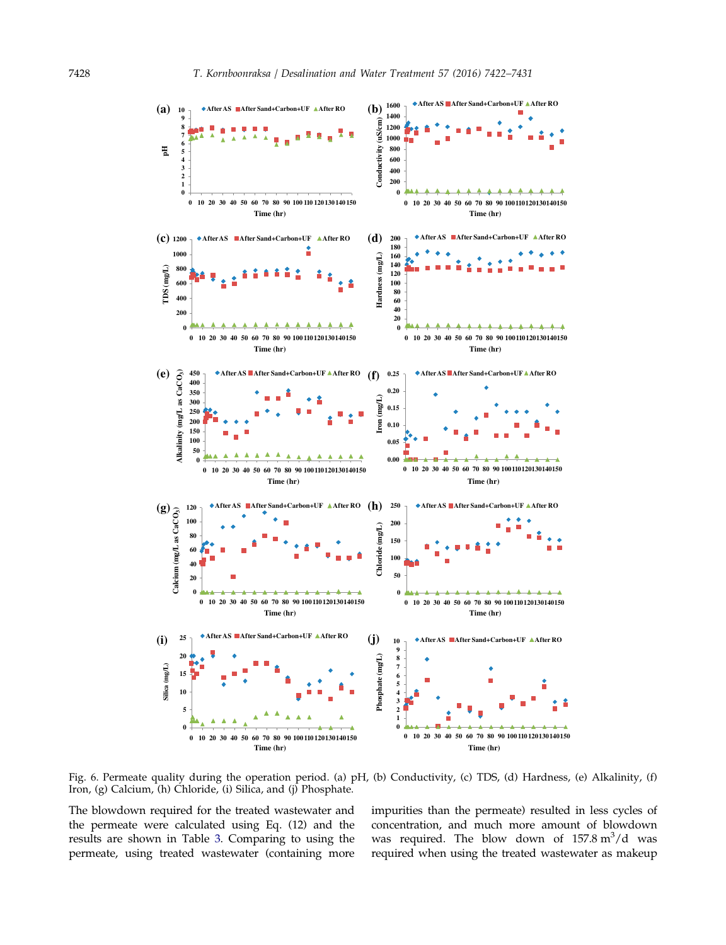<span id="page-6-0"></span>![](_page_6_Figure_1.jpeg)

Fig. 6. Permeate quality during the operation period. (a) pH, (b) Conductivity, (c) TDS, (d) Hardness, (e) Alkalinity, (f) Iron, (g) Calcium, (h) Chloride, (i) Silica, and (j) Phosphate.

The blowdown required for the treated wastewater and the permeate were calculated using Eq. (12) and the results are shown in Table [3](#page-7-0). Comparing to using the permeate, using treated wastewater (containing more impurities than the permeate) resulted in less cycles of concentration, and much more amount of blowdown was required. The blow down of  $157.8 \text{ m}^3/\text{d}$  was required when using the treated wastewater as makeup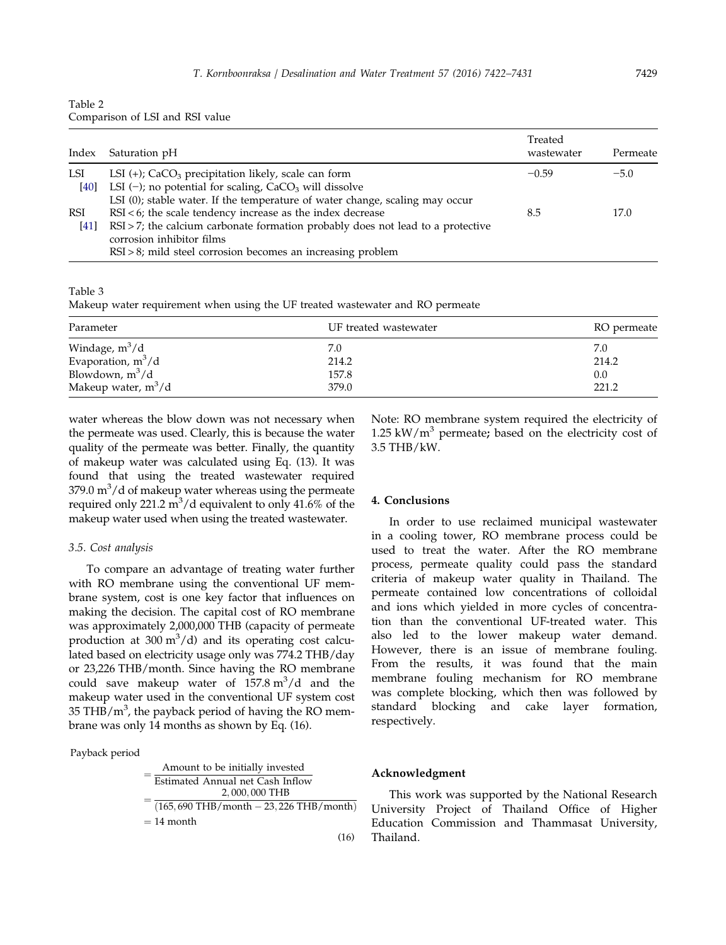<span id="page-7-0"></span>

| Table 2                         |  |
|---------------------------------|--|
| Comparison of LSI and RSI value |  |

| Index  | Saturation pH                                                                      | Treated<br>wastewater | Permeate |
|--------|------------------------------------------------------------------------------------|-----------------------|----------|
| LSI    | LSI $(+)$ ; CaCO <sub>3</sub> precipitation likely, scale can form                 | $-0.59$               | $-5.0$   |
| $[40]$ | LSI $(-)$ ; no potential for scaling, CaCO <sub>3</sub> will dissolve              |                       |          |
|        | LSI (0); stable water. If the temperature of water change, scaling may occur       |                       |          |
| RSI    | $RSI < 6$ ; the scale tendency increase as the index decrease                      | 8.5                   | 17.0     |
| [41]   | $RSI > 7$ ; the calcium carbonate formation probably does not lead to a protective |                       |          |
|        | corrosion inhibitor films                                                          |                       |          |
|        | $RSI > 8$ ; mild steel corrosion becomes an increasing problem                     |                       |          |

Table 3

Makeup water requirement when using the UF treated wastewater and RO permeate

| Parameter                                | UF treated wastewater | RO permeate |
|------------------------------------------|-----------------------|-------------|
|                                          | 7.0                   | 7.0         |
| Windage, $m^3/d$<br>Evaporation, $m^3/d$ | 214.2                 | 214.2       |
| Blowdown, $m^3/d$                        | 157.8                 | 0.0         |
| Makeup water, $m^3/d$                    | 379.0                 | 221.2       |

water whereas the blow down was not necessary when the permeate was used. Clearly, this is because the water quality of the permeate was better. Finally, the quantity of makeup water was calculated using Eq. (13). It was found that using the treated wastewater required 379.0  $\text{m}^3/\text{d}$  of makeup water whereas using the permeate required only 221.2  $\mathrm{m}^3/\mathrm{d}$  equivalent to only 41.6% of the makeup water used when using the treated wastewater.

#### 3.5. Cost analysis

To compare an advantage of treating water further with RO membrane using the conventional UF membrane system, cost is one key factor that influences on making the decision. The capital cost of RO membrane was approximately 2,000,000 THB (capacity of permeate production at  $300 \text{ m}^3/\text{d}$  and its operating cost calculated based on electricity usage only was 774.2 THB/day or 23,226 THB/month. Since having the RO membrane could save makeup water of  $157.8 \text{ m}^3/\text{d}$  and the makeup water used in the conventional UF system cost 35 THB/ $m<sup>3</sup>$ , the payback period of having the RO membrane was only 14 months as shown by Eq. (16).

#### Payback period

| Amount to be initially invested                        |
|--------------------------------------------------------|
| Estimated Annual net Cash Inflow                       |
| 2,000,000 THB                                          |
| $(165, 690 \text{ THB/mol} - 23, 226 \text{ THB/mol})$ |
| $=$ 14 month                                           |

Note: RO membrane system required the electricity of 1.25 kW/ $m<sup>3</sup>$  permeate; based on the electricity cost of 3.5 THB/kW.

# 4. Conclusions

In order to use reclaimed municipal wastewater in a cooling tower, RO membrane process could be used to treat the water. After the RO membrane process, permeate quality could pass the standard criteria of makeup water quality in Thailand. The permeate contained low concentrations of colloidal and ions which yielded in more cycles of concentration than the conventional UF-treated water. This also led to the lower makeup water demand. However, there is an issue of membrane fouling. From the results, it was found that the main membrane fouling mechanism for RO membrane was complete blocking, which then was followed by standard blocking and cake layer formation, respectively.

#### Acknowledgment

(16)

This work was supported by the National Research University Project of Thailand Office of Higher Education Commission and Thammasat University, Thailand.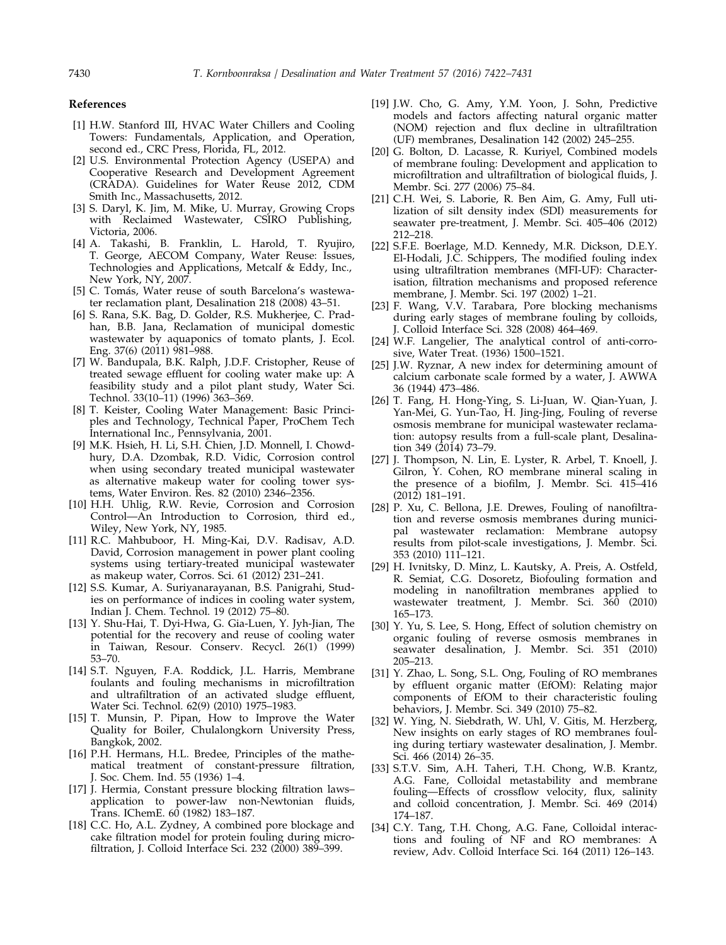#### References

- [1] H.W. Stanford III, HVAC Water Chillers and Cooling Towers: Fundamentals, Application, and Operation, second ed., CRC Press, Florida, FL, 2012.
- [2] U.S. Environmental Protection Agency (USEPA) and Cooperative Research and Development Agreement (CRADA). Guidelines for Water Reuse 2012, CDM Smith Inc., Massachusetts, 2012.
- [3] S. Daryl, K. Jim, M. Mike, U. Murray, Growing Crops with Reclaimed Wastewater, CSIRO Publishing, Victoria, 2006.
- [4] A. Takashi, B. Franklin, L. Harold, T. Ryujiro, T. George, AECOM Company, Water Reuse: Issues, Technologies and Applications, Metcalf & Eddy, Inc., New York, NY, 2007.
- [5] C. Tomás, Water reuse of south Barcelona's wastewater reclamation plant, Desalination 218 (2008) 43–51.
- [6] S. Rana, S.K. Bag, D. Golder, R.S. Mukherjee, C. Pradhan, B.B. Jana, Reclamation of municipal domestic wastewater by aquaponics of tomato plants, J. Ecol. Eng. 37(6) (2011) 981–988.
- [7] W. Bandupala, B.K. Ralph, J.D.F. Cristopher, Reuse of treated sewage effluent for cooling water make up: A feasibility study and a pilot plant study, Water Sci. Technol. 33(10–11) (1996) 363–369.
- [8] T. Keister, Cooling Water Management: Basic Principles and Technology, Technical Paper, ProChem Tech International Inc., Pennsylvania, 2001.
- [9] M.K. Hsieh, H. Li, S.H. Chien, J.D. Monnell, I. Chowdhury, D.A. Dzombak, R.D. Vidic, Corrosion control when using secondary treated municipal wastewater as alternative makeup water for cooling tower systems, Water Environ. Res. 82 (2010) 2346–2356.
- [10] H.H. Uhlig, R.W. Revie, Corrosion and Corrosion Control—An Introduction to Corrosion, third ed., Wiley, New York, NY, 1985.
- [11] R.C. Mahbuboor, H. Ming-Kai, D.V. Radisav, A.D. David, Corrosion management in power plant cooling systems using tertiary-treated municipal wastewater as makeup water, Corros. Sci. 61 (2012) 231–241.
- [12] S.S. Kumar, A. Suriyanarayanan, B.S. Panigrahi, Studies on performance of indices in cooling water system, Indian J. Chem. Technol. 19 (2012) 75–80.
- [13] Y. Shu-Hai, T. Dyi-Hwa, G. Gia-Luen, Y. Jyh-Jian, The potential for the recovery and reuse of cooling water in Taiwan, Resour. Conserv. Recycl. 26(1) (1999) 53–70.
- [14] S.T. Nguyen, F.A. Roddick, J.L. Harris, Membrane foulants and fouling mechanisms in microfiltration and ultrafiltration of an activated sludge effluent, Water Sci. Technol. 62(9) (2010) 1975–1983.
- [15] T. Munsin, P. Pipan, How to Improve the Water Quality for Boiler, Chulalongkorn University Press, Bangkok, 2002.
- [16] P.H. Hermans, H.L. Bredee, Principles of the mathematical treatment of constant-pressure filtration, J. Soc. Chem. Ind. 55 (1936) 1–4.
- [17] J. Hermia, Constant pressure blocking filtration laws– application to power-law non-Newtonian fluids, Trans. IChemE. 60 (1982) 183–187.
- [18] C.C. Ho, A.L. Zydney, A combined pore blockage and cake filtration model for protein fouling during microfiltration, J. Colloid Interface Sci. 232 (2000) 389–399.
- [19] J.W. Cho, G. Amy, Y.M. Yoon, J. Sohn, Predictive models and factors affecting natural organic matter (NOM) rejection and flux decline in ultrafiltration (UF) membranes, Desalination 142 (2002) 245–255.
- [20] G. Bolton, D. Lacasse, R. Kuriyel, Combined models of membrane fouling: Development and application to microfiltration and ultrafiltration of biological fluids, J. Membr. Sci. 277 (2006) 75–84.
- [21] C.H. Wei, S. Laborie, R. Ben Aim, G. Amy, Full utilization of silt density index (SDI) measurements for seawater pre-treatment, J. Membr. Sci. 405–406 (2012) 212–218.
- [22] S.F.E. Boerlage, M.D. Kennedy, M.R. Dickson, D.E.Y. El-Hodali, J.C. Schippers, The modified fouling index using ultrafiltration membranes (MFI-UF): Characterisation, filtration mechanisms and proposed reference membrane, J. Membr. Sci. 197 (2002) 1–21.
- [23] F. Wang, V.V. Tarabara, Pore blocking mechanisms during early stages of membrane fouling by colloids, J. Colloid Interface Sci. 328 (2008) 464–469.
- [24] W.F. Langelier, The analytical control of anti-corrosive, Water Treat. (1936) 1500–1521.
- [25] J.W. Ryznar, A new index for determining amount of calcium carbonate scale formed by a water, J. AWWA 36 (1944) 473–486.
- [26] T. Fang, H. Hong-Ying, S. Li-Juan, W. Qian-Yuan, J. Yan-Mei, G. Yun-Tao, H. Jing-Jing, Fouling of reverse osmosis membrane for municipal wastewater reclamation: autopsy results from a full-scale plant, Desalination 349 (2014) 73–79.
- [27] J. Thompson, N. Lin, E. Lyster, R. Arbel, T. Knoell, J. Gilron, Y. Cohen, RO membrane mineral scaling in the presence of a biofilm, J. Membr. Sci. 415–416 (2012) 181–191.
- [28] P. Xu, C. Bellona, J.E. Drewes, Fouling of nanofiltration and reverse osmosis membranes during municipal wastewater reclamation: Membrane autopsy results from pilot-scale investigations, J. Membr. Sci. 353 (2010) 111–121.
- [29] H. Ivnitsky, D. Minz, L. Kautsky, A. Preis, A. Ostfeld, R. Semiat, C.G. Dosoretz, Biofouling formation and modeling in nanofiltration membranes applied to wastewater treatment, J. Membr. Sci. 360 (2010) 165–173.
- [30] Y. Yu, S. Lee, S. Hong, Effect of solution chemistry on organic fouling of reverse osmosis membranes in seawater desalination, J. Membr. Sci. 351 (2010) 205–213.
- [31] Y. Zhao, L. Song, S.L. Ong, Fouling of RO membranes by effluent organic matter (EfOM): Relating major components of EfOM to their characteristic fouling behaviors, J. Membr. Sci. 349 (2010) 75–82.
- [32] W. Ying, N. Siebdrath, W. Uhl, V. Gitis, M. Herzberg, New insights on early stages of RO membranes fouling during tertiary wastewater desalination, J. Membr. Sci. 466 (2014) 26-35.
- [33] S.T.V. Sim, A.H. Taheri, T.H. Chong, W.B. Krantz, A.G. Fane, Colloidal metastability and membrane fouling—Effects of crossflow velocity, flux, salinity and colloid concentration, J. Membr. Sci. 469 (2014) 174–187.
- [34] C.Y. Tang, T.H. Chong, A.G. Fane, Colloidal interactions and fouling of NF and RO membranes: A review, Adv. Colloid Interface Sci. 164 (2011) 126–143.

<span id="page-8-0"></span>